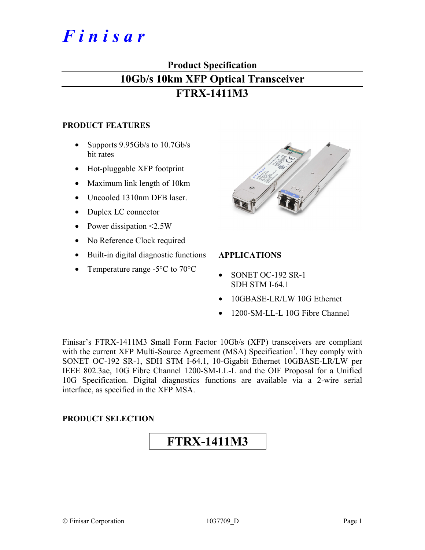# *F i n i s a r*

## **Product Specification 10Gb/s 10km XFP Optical Transceiver FTRX-1411M3**

#### **PRODUCT FEATURES**

- Supports 9.95Gb/s to 10.7Gb/s bit rates
- Hot-pluggable XFP footprint
- Maximum link length of 10km
- Uncooled 1310nm DFB laser.
- Duplex LC connector
- Power dissipation <2.5W
- No Reference Clock required
- Built-in digital diagnostic functions
- Temperature range -5<sup>o</sup>C to 70<sup>o</sup>C



#### **APPLICATIONS**

- SONET OC-192 SR-1 SDH STM I-64.1
- 10GBASE-LR/LW 10G Ethernet
- 1200-SM-LL-L 10G Fibre Channel

Finisar's FTRX-1411M3 Small Form Factor 10Gb/s (XFP) transceivers are compliant with the current XFP Multi-Source Agreement (MSA) Specification<sup>1</sup>. They comply with SONET OC-192 SR-1, SDH STM I-64.1, 10-Gigabit Ethernet 10GBASE-LR/LW per IEEE 802.3ae, 10G Fibre Channel 1200-SM-LL-L and the OIF Proposal for a Unified 10G Specification. Digital diagnostics functions are available via a 2-wire serial interface, as specified in the XFP MSA.

#### **PRODUCT SELECTION**

## **FTRX-1411M3**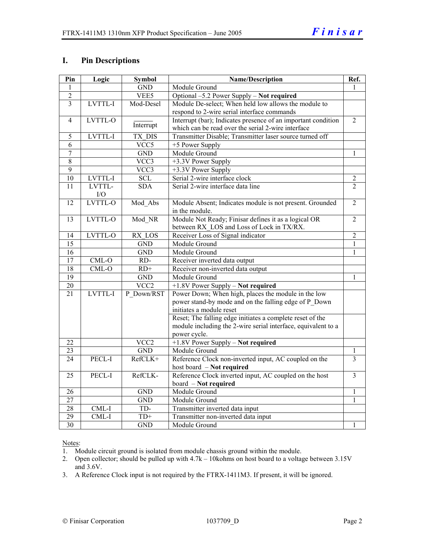#### **I. Pin Descriptions**

| Pin             | Logic          | <b>Symbol</b>    | Name/Description                                              |                         |  |
|-----------------|----------------|------------------|---------------------------------------------------------------|-------------------------|--|
| 1               |                | <b>GND</b>       | Module Ground                                                 |                         |  |
| $\overline{2}$  |                | VEE5             | Optional -5.2 Power Supply - Not required                     |                         |  |
| $\overline{3}$  | <b>LVTTL-I</b> | Mod-Desel        | Module De-select; When held low allows the module to          |                         |  |
|                 |                |                  | respond to 2-wire serial interface commands                   |                         |  |
| $\overline{4}$  | LVTTL-O        |                  | Interrupt (bar); Indicates presence of an important condition | $\overline{2}$          |  |
|                 |                | Interrupt        | which can be read over the serial 2-wire interface            |                         |  |
| 5               | LVTTL-I        | TX DIS           | Transmitter Disable; Transmitter laser source turned off      |                         |  |
| $\overline{6}$  |                | VCC5             | +5 Power Supply                                               |                         |  |
| $\overline{7}$  |                | <b>GND</b>       | Module Ground                                                 | 1                       |  |
| 8               |                | VCC3             | $\overline{+3.3}$ V Power Supply                              |                         |  |
| $\overline{9}$  |                | VCC3             | +3.3V Power Supply                                            |                         |  |
| 10              | LVTTL-I        | <b>SCL</b>       | Serial 2-wire interface clock                                 | $\overline{2}$          |  |
| 11              | LVTTL-         | <b>SDA</b>       | Serial 2-wire interface data line                             | $\overline{2}$          |  |
|                 | I/O            |                  |                                                               |                         |  |
| $\overline{12}$ | LVTTL-O        | Mod Abs          | Module Absent; Indicates module is not present. Grounded      | $\overline{2}$          |  |
|                 |                |                  | in the module.                                                |                         |  |
| 13              | LVTTL-O        | Mod NR           | Module Not Ready; Finisar defines it as a logical OR          | $\overline{2}$          |  |
|                 |                |                  | between RX LOS and Loss of Lock in TX/RX.                     |                         |  |
| 14              | LVTTL-O        | RX LOS           | Receiver Loss of Signal indicator                             | $\overline{2}$          |  |
| $\overline{15}$ |                | <b>GND</b>       | Module Ground                                                 | $\mathbf{1}$            |  |
| $\overline{16}$ |                | <b>GND</b>       | Module Ground                                                 | $\mathbf{1}$            |  |
| 17              | $CML-O$        | RD-              | Receiver inverted data output                                 |                         |  |
| 18              | $CML-O$        | $RD+$            | Receiver non-inverted data output                             |                         |  |
| 19              |                | <b>GND</b>       | Module Ground                                                 | $\mathbf{1}$            |  |
| 20              |                | VCC <sub>2</sub> | +1.8V Power Supply - Not required                             |                         |  |
| $\overline{21}$ | <b>LVTTL-I</b> | P Down/RST       | Power Down; When high, places the module in the low           |                         |  |
|                 |                |                  | power stand-by mode and on the falling edge of P_Down         |                         |  |
|                 |                |                  | initiates a module reset                                      |                         |  |
|                 |                |                  | Reset; The falling edge initiates a complete reset of the     |                         |  |
|                 |                |                  | module including the 2-wire serial interface, equivalent to a |                         |  |
|                 |                |                  | power cycle.                                                  |                         |  |
| 22              |                | VCC <sub>2</sub> | +1.8V Power Supply - Not required                             |                         |  |
| 23              |                | <b>GND</b>       | Module Ground                                                 | 1                       |  |
| $\overline{24}$ | PECL-I         | RefCLK+          | Reference Clock non-inverted input, AC coupled on the         | $\overline{3}$          |  |
|                 |                |                  | host board - Not required                                     |                         |  |
| 25              | PECL-I         | RefCLK-          | Reference Clock inverted input, AC coupled on the host        | $\overline{\mathbf{3}}$ |  |
|                 |                |                  | board - Not required                                          |                         |  |
| 26              |                | <b>GND</b>       | Module Ground                                                 | 1                       |  |
| 27              |                | <b>GND</b>       | Module Ground                                                 | 1                       |  |
| $\overline{28}$ | $CML-I$        | TD-              | Transmitter inverted data input                               |                         |  |
| 29              | $CML-I$        | $TD+$            | Transmitter non-inverted data input                           |                         |  |
| $\overline{30}$ |                | <b>GND</b>       | Module Ground                                                 | $\mathbf{1}$            |  |

Notes:

1. Module circuit ground is isolated from module chassis ground within the module.

2. Open collector; should be pulled up with 4.7k – 10kohms on host board to a voltage between 3.15V and 3.6V.

3. A Reference Clock input is not required by the FTRX-1411M3. If present, it will be ignored.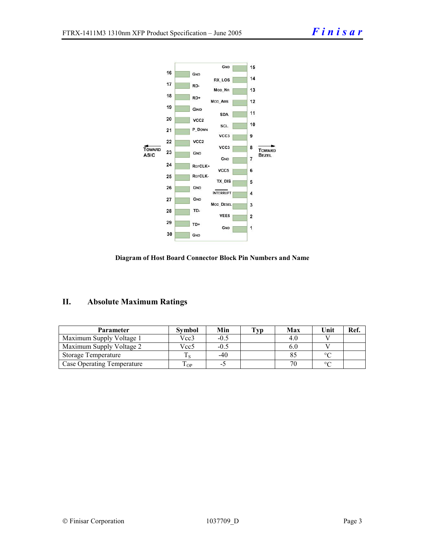



### **II. Absolute Maximum Ratings**

| <b>Parameter</b>                  | <b>Symbol</b> | Min    | Tvp | Max | Unit    | Ref. |
|-----------------------------------|---------------|--------|-----|-----|---------|------|
| Maximum Supply Voltage 1          | Vcc3          | $-0.5$ |     |     |         |      |
| Maximum Supply Voltage 2          | Vcc5          | $-0.5$ |     |     |         |      |
| <b>Storage Temperature</b>        |               | -40    |     |     | $\circ$ |      |
| <b>Case Operating Temperature</b> | OP.           | - 1    |     |     | $\circ$ |      |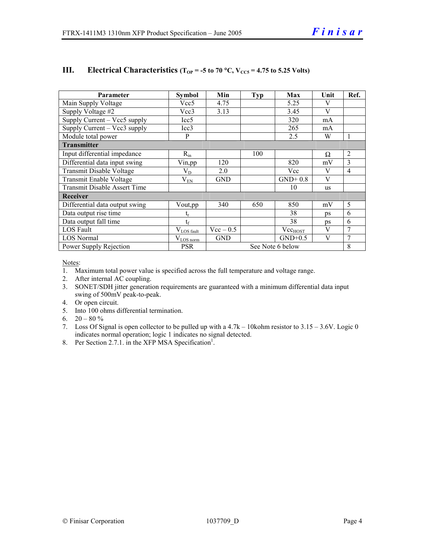| Parameter                           | <b>Symbol</b>                    | Min         | <b>Typ</b> | Max              | Unit         | Ref.           |
|-------------------------------------|----------------------------------|-------------|------------|------------------|--------------|----------------|
| Main Supply Voltage                 | Vcc5                             | 4.75        |            | 5.25             | V            |                |
| Supply Voltage #2                   | Vec3                             | 3.13        |            | 3.45             | $\mathbf{V}$ |                |
| Supply Current – Vcc5 supply        | Icc <sub>5</sub>                 |             |            | 320              | mA           |                |
| Supply Current – Vcc3 supply        | Icc3                             |             |            | 265              | mA           |                |
| Module total power                  | P                                |             |            | 2.5              | W            | $\mathbf{1}$   |
| <b>Transmitter</b>                  |                                  |             |            |                  |              |                |
| Input differential impedance        | $R_{in}$                         |             | 100        |                  | Ω            | $\overline{2}$ |
| Differential data input swing       | Vin,pp                           | 120         |            | 820              | mV           | 3              |
| <b>Transmit Disable Voltage</b>     | $\rm V_{D}$                      | 2.0         |            | Vcc              | V            | $\overline{4}$ |
| Transmit Enable Voltage             | $\rm V_{EN}$                     | <b>GND</b>  |            | $GND+0.8$        | V            |                |
| <b>Transmit Disable Assert Time</b> |                                  |             |            | 10               | <b>us</b>    |                |
| <b>Receiver</b>                     |                                  |             |            |                  |              |                |
| Differential data output swing      | Vout, pp                         | 340         | 650        | 850              | mV           | 5              |
| Data output rise time               | $\mathfrak{t}_{\rm r}$           |             |            | 38               | ps           | 6              |
| Data output fall time               | $t_{\rm f}$                      |             |            | 38               | ps           | 6              |
| LOS Fault                           | $V_{LOS}$ fault                  | $Vec - 0.5$ |            | $Vec_{HOST}$     | V            | 7              |
| <b>LOS</b> Normal                   | $V_{LOS\underline{\text{norm}}}$ | <b>GND</b>  |            | $GND+0.5$        | V            | 7              |
| Power Supply Rejection              | <b>PSR</b>                       |             |            | See Note 6 below |              | 8              |

#### **III.** Electrical Characteristics ( $T_{OP}$  = -5 to 70 °C,  $V_{CC5}$  = 4.75 to 5.25 Volts)

Notes:

- 1. Maximum total power value is specified across the full temperature and voltage range.
- 2. After internal AC coupling.
- 3. SONET/SDH jitter generation requirements are guaranteed with a minimum differential data input swing of 500mV peak-to-peak.
- 4. Or open circuit.
- 5. Into 100 ohms differential termination.
- 6.  $20 80 \%$
- 7. Loss Of Signal is open collector to be pulled up with a 4.7k 10kohm resistor to 3.15 3.6V. Logic 0 indicates normal operation; logic 1 indicates no signal detected.
- 8. Per Section 2.7.1. in the XFP MSA Specification<sup>1</sup>.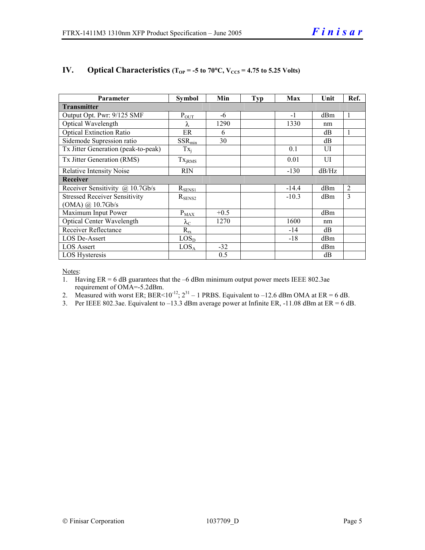| <b>Parameter</b>                     | <b>Symbol</b>          | Min    | Typ | Max     | Unit  | Ref.           |  |
|--------------------------------------|------------------------|--------|-----|---------|-------|----------------|--|
| <b>Transmitter</b>                   |                        |        |     |         |       |                |  |
| Output Opt. Pwr: 9/125 SMF           | $P_{OUT}$              | -6     |     | $-1$    | dBm   | 1              |  |
| Optical Wavelength                   | λ                      | 1290   |     | 1330    | nm    |                |  |
| <b>Optical Extinction Ratio</b>      | ER                     | 6      |     |         | dB    | 1              |  |
| Sidemode Supression ratio            | $SSR_{min}$            | 30     |     |         | dB    |                |  |
| Tx Jitter Generation (peak-to-peak)  | $Tx_i$                 |        |     | 0.1     | UI    |                |  |
| Tx Jitter Generation (RMS)           | $Tx_{iRMS}$            |        |     | 0.01    | UI    |                |  |
| <b>Relative Intensity Noise</b>      | <b>RIN</b>             |        |     | $-130$  | dB/Hz |                |  |
| Receiver                             |                        |        |     |         |       |                |  |
| Receiver Sensitivity @ 10.7Gb/s      | $R_{SENS1}$            |        |     | $-14.4$ | dBm   | $\overline{2}$ |  |
| <b>Stressed Receiver Sensitivity</b> | $R_{\rm SENS2}$        |        |     | $-10.3$ | dBm   | 3              |  |
| $(OMA)$ @ 10.7Gb/s                   |                        |        |     |         |       |                |  |
| Maximum Input Power                  | $P_{MAX}$              | $+0.5$ |     |         | dBm   |                |  |
| <b>Optical Center Wavelength</b>     | $\lambda_{\mathrm{C}}$ | 1270   |     | 1600    | nm    |                |  |
| <b>Receiver Reflectance</b>          | $R_{rx}$               |        |     | $-14$   | dB    |                |  |
| <b>LOS De-Assert</b>                 | $LOS_{D}$              |        |     | $-18$   | dBm   |                |  |
| <b>LOS Assert</b>                    | LOS <sub>A</sub>       | $-32$  |     |         | dBm   |                |  |
| LOS Hysteresis                       |                        | 0.5    |     |         | dB    |                |  |

#### **IV.** Optical Characteristics ( $T_{OP}$  = -5 to 70°C,  $V_{CC5}$  = 4.75 to 5.25 Volts)

Notes:

- 1. Having  $ER = 6$  dB guarantees that the  $-6$  dBm minimum output power meets IEEE 802.3ae requirement of OMA=-5.2dBm.
- 2. Measured with worst ER;  $BER < 10^{-12}$ ;  $2^{31} 1$  PRBS. Equivalent to  $-12.6$  dBm OMA at ER = 6 dB.
- 3. Per IEEE 802.3ae. Equivalent to –13.3 dBm average power at Infinite ER, -11.08 dBm at ER = 6 dB.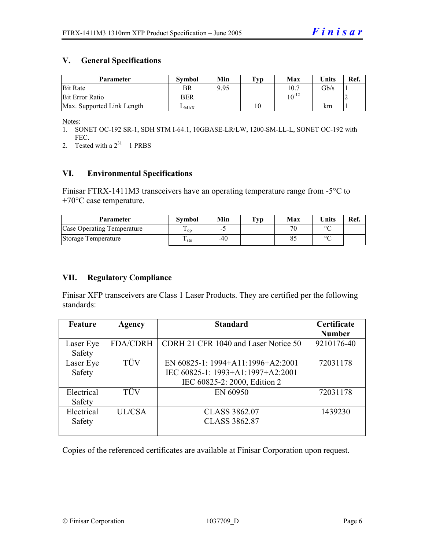#### **V. General Specifications**

| <b>Parameter</b>           | <b>Symbol</b> | Min  | $\mathbf{T}_{\mathbf{V}\mathbf{p}}$ | Max        | <b>Units</b> | Ref. |
|----------------------------|---------------|------|-------------------------------------|------------|--------------|------|
| <b>Bit Rate</b>            | BR            | 9.95 |                                     | 10.7       | Gb/s         |      |
| <b>Bit Error Ratio</b>     | <b>BER</b>    |      |                                     | $10^{-12}$ |              |      |
| Max. Supported Link Length | $L_{MAX}$     |      | 10                                  |            | km           |      |

Notes:

- 1. SONET OC-192 SR-1, SDH STM I-64.1, 10GBASE-LR/LW, 1200-SM-LL-L, SONET OC-192 with FEC.
- 2. Tested with a  $2^{31} 1$  PRBS

#### **VI. Environmental Specifications**

Finisar FTRX-1411M3 transceivers have an operating temperature range from -5°C to +70°C case temperature.

| Parameter                  | Svmbol     | Min   | $\mathbf{T}_{\mathbf{V}\mathbf{p}}$ | Max | <b>Units</b> | Ref. |
|----------------------------|------------|-------|-------------------------------------|-----|--------------|------|
| Case Operating Temperature | L OD       | -     |                                     | 70  | $\sim$       |      |
| Storage Temperature        | m<br>⊥ sto | $-40$ |                                     |     | $\sim$       |      |

#### **VII. Regulatory Compliance**

Finisar XFP transceivers are Class 1 Laser Products. They are certified per the following standards:

| <b>Feature</b> | Agency          | <b>Standard</b>                      | Certificate   |
|----------------|-----------------|--------------------------------------|---------------|
|                |                 |                                      | <b>Number</b> |
| Laser Eye      | <b>FDA/CDRH</b> | CDRH 21 CFR 1040 and Laser Notice 50 | 9210176-40    |
| Safety         |                 |                                      |               |
| Laser Eye      | <b>TÜV</b>      | EN 60825-1: 1994+A11:1996+A2:2001    | 72031178      |
| Safety         |                 | IEC 60825-1: 1993+A1:1997+A2:2001    |               |
|                |                 | IEC 60825-2: 2000, Edition 2         |               |
| Electrical     | TÜV             | EN 60950                             | 72031178      |
| Safety         |                 |                                      |               |
| Electrical     | UL/CSA          | <b>CLASS 3862.07</b>                 | 1439230       |
| Safety         |                 | <b>CLASS 3862.87</b>                 |               |
|                |                 |                                      |               |

Copies of the referenced certificates are available at Finisar Corporation upon request.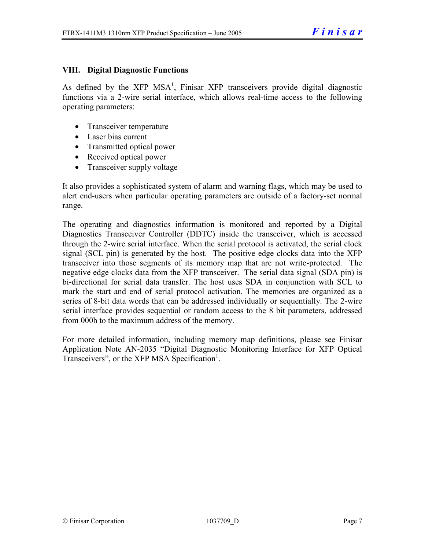#### **VIII. Digital Diagnostic Functions**

As defined by the  $XFP$  MSA<sup>1</sup>, Finisar  $XFP$  transceivers provide digital diagnostic functions via a 2-wire serial interface, which allows real-time access to the following operating parameters:

- Transceiver temperature
- Laser bias current
- Transmitted optical power
- Received optical power
- Transceiver supply voltage

It also provides a sophisticated system of alarm and warning flags, which may be used to alert end-users when particular operating parameters are outside of a factory-set normal range.

The operating and diagnostics information is monitored and reported by a Digital Diagnostics Transceiver Controller (DDTC) inside the transceiver, which is accessed through the 2-wire serial interface. When the serial protocol is activated, the serial clock signal (SCL pin) is generated by the host. The positive edge clocks data into the XFP transceiver into those segments of its memory map that are not write-protected. The negative edge clocks data from the XFP transceiver. The serial data signal (SDA pin) is bi-directional for serial data transfer. The host uses SDA in conjunction with SCL to mark the start and end of serial protocol activation. The memories are organized as a series of 8-bit data words that can be addressed individually or sequentially. The 2-wire serial interface provides sequential or random access to the 8 bit parameters, addressed from 000h to the maximum address of the memory.

For more detailed information, including memory map definitions, please see Finisar Application Note AN-2035 "Digital Diagnostic Monitoring Interface for XFP Optical Transceivers", or the XFP MSA Specification<sup>1</sup>.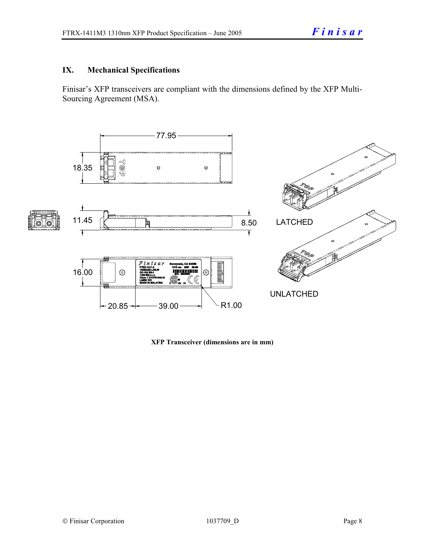#### **IX. Mechanical Specifications**

Finisar's XFP transceivers are compliant with the dimensions defined by the XFP Multi-Sourcing Agreement (MSA).



**XFP Transceiver (dimensions are in mm)**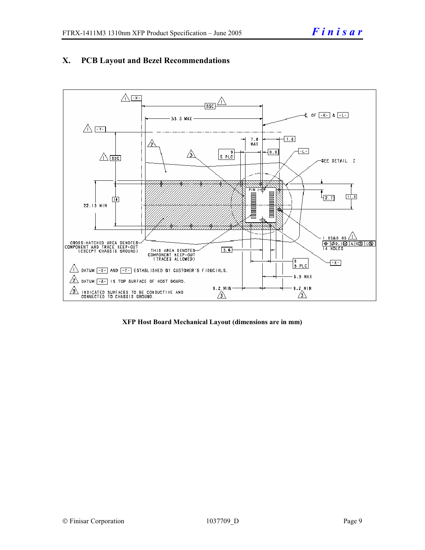

#### **X. PCB Layout and Bezel Recommendations**

**XFP Host Board Mechanical Layout (dimensions are in mm)**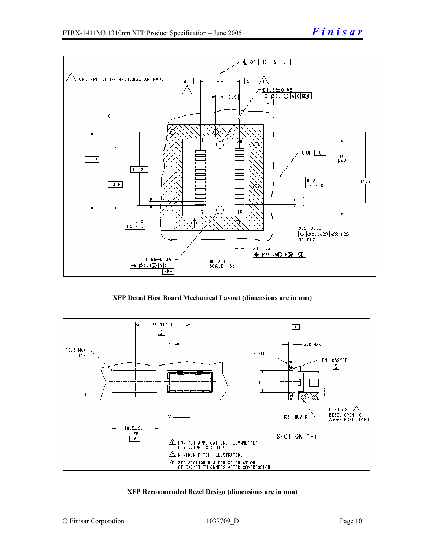

**XFP Detail Host Board Mechanical Layout (dimensions are in mm)** 



#### **XFP Recommended Bezel Design (dimensions are in mm)**